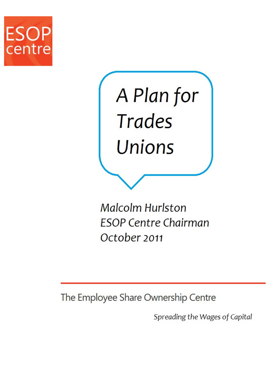



**Malcolm Hurlston ESOP Centre Chairman** October 2011

The Employee Share Ownership Centre

Spreading the Wages of Capital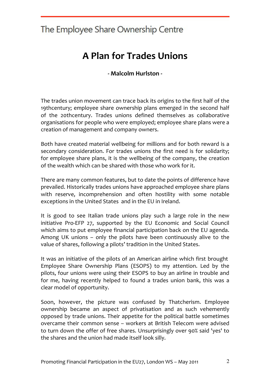## A Plan for Trades Unions

- Malcolm Hurlston -

The trades union movement can trace back its origins to the first half of the 19thcentury; employee share ownership plans emerged in the second half of the 20thcentury. Trades unions defined themselves as collaborative organisations for people who were employed; employee share plans were a creation of management and company owners.

Both have created material wellbeing for millions and for both reward is a secondary consideration. For trades unions the first need is for solidarity; for employee share plans, it is the wellbeing of the company, the creation of the wealth which can be shared with those who work for it.

There are many common features, but to date the points of difference have prevailed. Historically trades unions have approached employee share plans with reserve, incomprehension and often hostility with some notable exceptions in the United States and in the EU in Ireland.

It is good to see Italian trade unions play such a large role in the new initiative Pro-EFP 27, supported by the EU Economic and Social Council which aims to put employee financial participation back on the EU agenda. Among UK unions – only the pilots have been continuously alive to the value of shares, following a pilots' tradition in the United States.

It was an initiative of the pilots of an American airline which first brought Employee Share Ownership Plans (ESOPS) to my attention. Led by the pilots, four unions were using their ESOPS to buy an airline in trouble and for me, having recently helped to found a trades union bank, this was a clear model of opportunity.

Soon, however, the picture was confused by Thatcherism. Employee ownership became an aspect of privatisation and as such vehemently opposed by trade unions. Their appetite for the political battle sometimes overcame their common sense – workers at British Telecom were advised to turn down the offer of free shares. Unsurprisingly over 90% said 'yes' to the shares and the union had made itself look silly.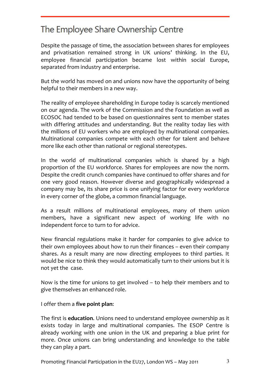Despite the passage of time, the association between shares for employees and privatisation remained strong in UK unions' thinking. In the EU, employee financial participation became lost within social Europe, separated from industry and enterprise.

But the world has moved on and unions now have the opportunity of being helpful to their members in a new way.

The reality of employee shareholding in Europe today is scarcely mentioned on our agenda. The work of the Commission and the Foundation as well as ECOSOC had tended to be based on questionnaires sent to member states with differing attitudes and understanding. But the reality today lies with the millions of EU workers who are employed by multinational companies. Multinational companies compete with each other for talent and behave more like each other than national or regional stereotypes.

In the world of multinational companies which is shared by a high proportion of the EU workforce. Shares for employees are now the norm. Despite the credit crunch companies have continued to offer shares and for one very good reason. However diverse and geographically widespread a company may be, its share price is one unifying factor for every workforce in every corner of the globe, a common financial language.

As a result millions of multinational employees, many of them union members, have a significant new aspect of working life with no independent force to turn to for advice.

New financial regulations make it harder for companies to give advice to their own employees about how to run their finances – even their company shares. As a result many are now directing employees to third parties. It would be nice to think they would automatically turn to their unions but it is not yet the case.

Now is the time for unions to get involved – to help their members and to give themselves an enhanced role.

I offer them a five point plan:

The first is **education.** Unions need to understand employee ownership as it exists today in large and multinational companies. The ESOP Centre is already working with one union in the UK and preparing a blue print for more. Once unions can bring understanding and knowledge to the table they can play a part.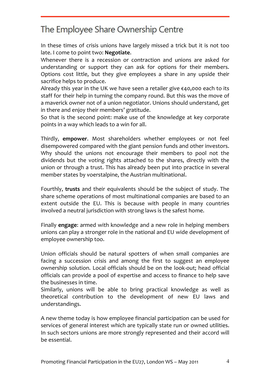In these times of crisis unions have largely missed a trick but it is not too late. I come to point two: Negotiate.

Whenever there is a recession or contraction and unions are asked for understanding or support they can ask for options for their members. Options cost little, but they give employees a share in any upside their sacrifice helps to produce.

Already this year in the UK we have seen a retailer give €40,000 each to its staff for their help in turning the company round. But this was the move of a maverick owner not of a union negotiator. Unions should understand, get in there and enjoy their members' gratitude.

So that is the second point: make use of the knowledge at key corporate points in a way which leads to a win for all.

Thirdly, empower. Most shareholders whether employees or not feel disempowered compared with the giant pension funds and other investors. Why should the unions not encourage their members to pool not the dividends but the voting rights attached to the shares, directly with the union or through a trust. This has already been put into practice in several member states by voerstalpine, the Austrian multinational.

Fourthly, trusts and their equivalents should be the subject of study. The share scheme operations of most multinational companies are based to an extent outside the EU. This is because with people in many countries involved a neutral jurisdiction with strong laws is the safest home.

Finally engage: armed with knowledge and a new role in helping members unions can play a stronger role in the national and EU wide development of employee ownership too.

Union officials should be natural spotters of when small companies are facing a succession crisis and among the first to suggest an employee ownership solution. Local officials should be on the look-out; head official officials can provide a pool of expertise and access to finance to help save the businesses in time.

Similarly, unions will be able to bring practical knowledge as well as theoretical contribution to the development of new EU laws and understandings.

A new theme today is how employee financial participation can be used for services of general interest which are typically state run or owned utilities. In such sectors unions are more strongly represented and their accord will be essential.